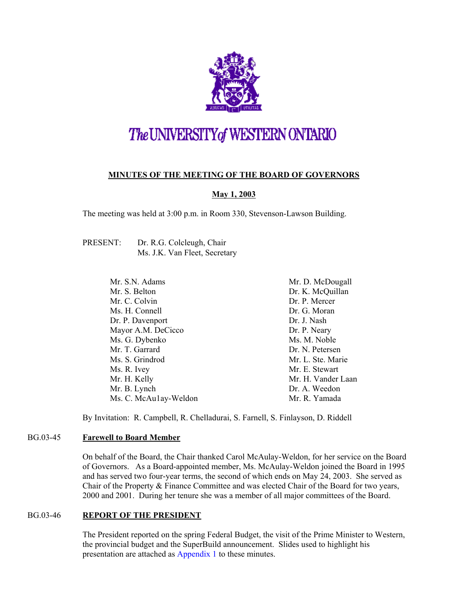

# The UNIVERSITY of WESTERN ONTARIO

### **MINUTES OF THE MEETING OF THE BOARD OF GOVERNORS**

### **May 1, 2003**

The meeting was held at 3:00 p.m. in Room 330, Stevenson-Lawson Building.

| PRESENT: | Dr. R.G. Colcleugh, Chair     |
|----------|-------------------------------|
|          | Ms. J.K. Van Fleet, Secretary |

Mr. S.N. Adams Mr. S. Belton Mr. C. Colvin Ms. H. Connell Dr. P. Davenport Mayor A.M. DeCicco Ms. G. Dybenko Mr. T. Garrard Ms. S. Grindrod Ms. R. Ivey Mr. H. Kelly Mr. B. Lynch Ms. C. McAu1ay-Weldon Mr. D. McDougall Dr. K. McQuillan Dr. P. Mercer Dr. G. Moran Dr. J. Nash Dr. P. Neary Ms. M. Noble Dr. N. Petersen Mr. L. Ste. Marie Mr. E. Stewart Mr. H. Vander Laan Dr. A. Weedon Mr. R. Yamada

By Invitation: R. Campbell, R. Chelladurai, S. Farnell, S. Finlayson, D. Riddell

### BG.03-45 **Farewell to Board Member**

On behalf of the Board, the Chair thanked Carol McAulay-Weldon, for her service on the Board of Governors. As a Board-appointed member, Ms. McAulay-Weldon joined the Board in 1995 and has served two four-year terms, the second of which ends on May 24, 2003. She served as Chair of the Property & Finance Committee and was elected Chair of the Board for two years, 2000 and 2001. During her tenure she was a member of all major committees of the Board.

### BG.03-46 **REPORT OF THE PRESIDENT**

The President reported on the spring Federal Budget, the visit of the Prime Minister to Western, the provincial budget and the SuperBuild announcement. Slides used to highlight his presentation are attached as [Appendix 1](#page-8-0) to these minutes.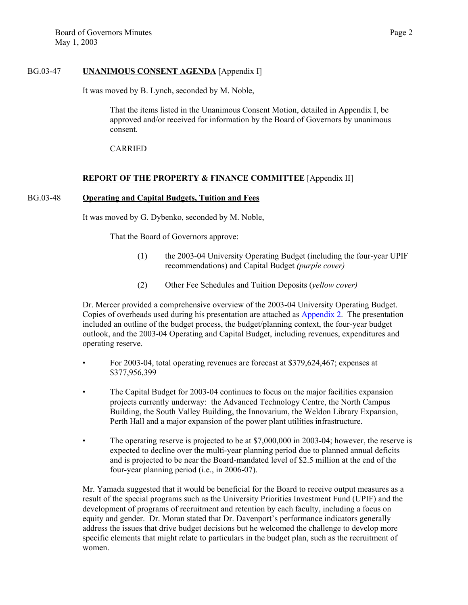### BG.03-47 **UNANIMOUS CONSENT AGENDA** [Appendix I]

It was moved by B. Lynch, seconded by M. Noble,

That the items listed in the Unanimous Consent Motion, detailed in Appendix I, be approved and/or received for information by the Board of Governors by unanimous consent.

CARRIED

#### **REPORT OF THE PROPERTY & FINANCE COMMITTEE** [Appendix II]

#### BG.03-48 **Operating and Capital Budgets, Tuition and Fees**

It was moved by G. Dybenko, seconded by M. Noble,

That the Board of Governors approve:

- (1) the 2003-04 University Operating Budget (including the four-year UPIF recommendations) and Capital Budget *(purple cover)*
- (2) Other Fee Schedules and Tuition Deposits (*yellow cover)*

Dr. Mercer provided a comprehensive overview of the 2003-04 University Operating Budget. Copies of overheads used during his presentation are attached as [Appendix 2. T](#page-10-0)he presentation included an outline of the budget process, the budget/planning context, the four-year budget outlook, and the 2003-04 Operating and Capital Budget, including revenues, expenditures and operating reserve.

- For 2003-04, total operating revenues are forecast at \$379,624,467; expenses at \$377,956,399
- The Capital Budget for 2003-04 continues to focus on the major facilities expansion projects currently underway: the Advanced Technology Centre, the North Campus Building, the South Valley Building, the Innovarium, the Weldon Library Expansion, Perth Hall and a major expansion of the power plant utilities infrastructure.
- The operating reserve is projected to be at \$7,000,000 in 2003-04; however, the reserve is expected to decline over the multi-year planning period due to planned annual deficits and is projected to be near the Board-mandated level of \$2.5 million at the end of the four-year planning period (i.e., in 2006-07).

Mr. Yamada suggested that it would be beneficial for the Board to receive output measures as a result of the special programs such as the University Priorities Investment Fund (UPIF) and the development of programs of recruitment and retention by each faculty, including a focus on equity and gender. Dr. Moran stated that Dr. Davenport's performance indicators generally address the issues that drive budget decisions but he welcomed the challenge to develop more specific elements that might relate to particulars in the budget plan, such as the recruitment of women.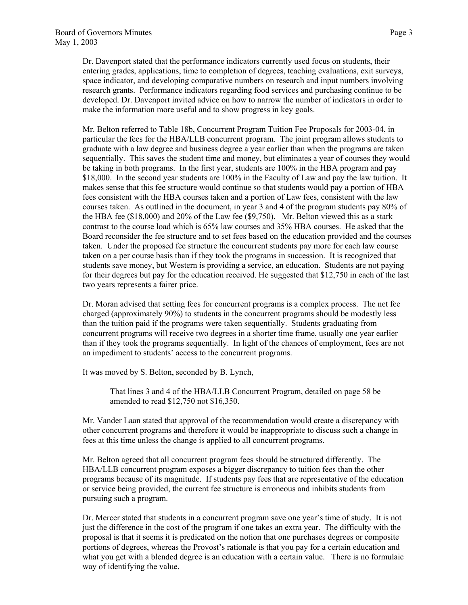Dr. Davenport stated that the performance indicators currently used focus on students, their entering grades, applications, time to completion of degrees, teaching evaluations, exit surveys, space indicator, and developing comparative numbers on research and input numbers involving research grants. Performance indicators regarding food services and purchasing continue to be developed. Dr. Davenport invited advice on how to narrow the number of indicators in order to make the information more useful and to show progress in key goals.

Mr. Belton referred to Table 18b, Concurrent Program Tuition Fee Proposals for 2003-04, in particular the fees for the HBA/LLB concurrent program. The joint program allows students to graduate with a law degree and business degree a year earlier than when the programs are taken sequentially. This saves the student time and money, but eliminates a year of courses they would be taking in both programs. In the first year, students are 100% in the HBA program and pay \$18,000. In the second year students are 100% in the Faculty of Law and pay the law tuition. It makes sense that this fee structure would continue so that students would pay a portion of HBA fees consistent with the HBA courses taken and a portion of Law fees, consistent with the law courses taken. As outlined in the document, in year 3 and 4 of the program students pay 80% of the HBA fee (\$18,000) and 20% of the Law fee (\$9,750). Mr. Belton viewed this as a stark contrast to the course load which is 65% law courses and 35% HBA courses. He asked that the Board reconsider the fee structure and to set fees based on the education provided and the courses taken. Under the proposed fee structure the concurrent students pay more for each law course taken on a per course basis than if they took the programs in succession. It is recognized that students save money, but Western is providing a service, an education. Students are not paying for their degrees but pay for the education received. He suggested that \$12,750 in each of the last two years represents a fairer price.

Dr. Moran advised that setting fees for concurrent programs is a complex process. The net fee charged (approximately 90%) to students in the concurrent programs should be modestly less than the tuition paid if the programs were taken sequentially. Students graduating from concurrent programs will receive two degrees in a shorter time frame, usually one year earlier than if they took the programs sequentially. In light of the chances of employment, fees are not an impediment to students' access to the concurrent programs.

It was moved by S. Belton, seconded by B. Lynch,

That lines 3 and 4 of the HBA/LLB Concurrent Program, detailed on page 58 be amended to read \$12,750 not \$16,350.

Mr. Vander Laan stated that approval of the recommendation would create a discrepancy with other concurrent programs and therefore it would be inappropriate to discuss such a change in fees at this time unless the change is applied to all concurrent programs.

Mr. Belton agreed that all concurrent program fees should be structured differently. The HBA/LLB concurrent program exposes a bigger discrepancy to tuition fees than the other programs because of its magnitude. If students pay fees that are representative of the education or service being provided, the current fee structure is erroneous and inhibits students from pursuing such a program.

Dr. Mercer stated that students in a concurrent program save one year's time of study. It is not just the difference in the cost of the program if one takes an extra year. The difficulty with the proposal is that it seems it is predicated on the notion that one purchases degrees or composite portions of degrees, whereas the Provost's rationale is that you pay for a certain education and what you get with a blended degree is an education with a certain value. There is no formulaic way of identifying the value.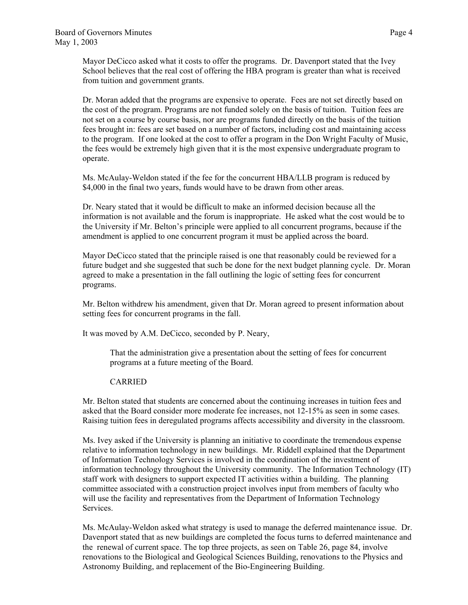Mayor DeCicco asked what it costs to offer the programs. Dr. Davenport stated that the Ivey School believes that the real cost of offering the HBA program is greater than what is received from tuition and government grants.

Dr. Moran added that the programs are expensive to operate. Fees are not set directly based on the cost of the program. Programs are not funded solely on the basis of tuition. Tuition fees are not set on a course by course basis, nor are programs funded directly on the basis of the tuition fees brought in: fees are set based on a number of factors, including cost and maintaining access to the program. If one looked at the cost to offer a program in the Don Wright Faculty of Music, the fees would be extremely high given that it is the most expensive undergraduate program to operate.

Ms. McAulay-Weldon stated if the fee for the concurrent HBA/LLB program is reduced by \$4,000 in the final two years, funds would have to be drawn from other areas.

Dr. Neary stated that it would be difficult to make an informed decision because all the information is not available and the forum is inappropriate. He asked what the cost would be to the University if Mr. Belton's principle were applied to all concurrent programs, because if the amendment is applied to one concurrent program it must be applied across the board.

Mayor DeCicco stated that the principle raised is one that reasonably could be reviewed for a future budget and she suggested that such be done for the next budget planning cycle. Dr. Moran agreed to make a presentation in the fall outlining the logic of setting fees for concurrent programs.

Mr. Belton withdrew his amendment, given that Dr. Moran agreed to present information about setting fees for concurrent programs in the fall.

It was moved by A.M. DeCicco, seconded by P. Neary,

That the administration give a presentation about the setting of fees for concurrent programs at a future meeting of the Board.

#### CARRIED

Mr. Belton stated that students are concerned about the continuing increases in tuition fees and asked that the Board consider more moderate fee increases, not 12-15% as seen in some cases. Raising tuition fees in deregulated programs affects accessibility and diversity in the classroom.

Ms. Ivey asked if the University is planning an initiative to coordinate the tremendous expense relative to information technology in new buildings. Mr. Riddell explained that the Department of Information Technology Services is involved in the coordination of the investment of information technology throughout the University community. The Information Technology (IT) staff work with designers to support expected IT activities within a building. The planning committee associated with a construction project involves input from members of faculty who will use the facility and representatives from the Department of Information Technology Services.

Ms. McAulay-Weldon asked what strategy is used to manage the deferred maintenance issue. Dr. Davenport stated that as new buildings are completed the focus turns to deferred maintenance and the renewal of current space. The top three projects, as seen on Table 26, page 84, involve renovations to the Biological and Geological Sciences Building, renovations to the Physics and Astronomy Building, and replacement of the Bio-Engineering Building.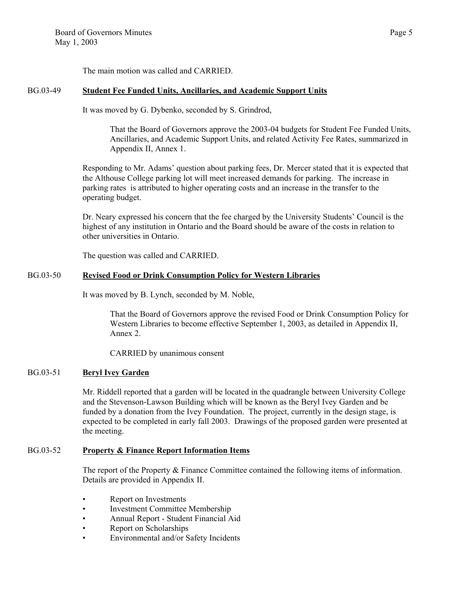The main motion was called and CARRIED.

### BG.03-49 **Student Fee Funded Units, Ancillaries, and Academic Support Units**

It was moved by G. Dybenko, seconded by S. Grindrod,

That the Board of Governors approve the 2003-04 budgets for Student Fee Funded Units, Ancillaries, and Academic Support Units, and related Activity Fee Rates, summarized in Appendix II, Annex 1.

Responding to Mr. Adams' question about parking fees, Dr. Mercer stated that it is expected that the Althouse College parking lot will meet increased demands for parking. The increase in parking rates is attributed to higher operating costs and an increase in the transfer to the operating budget.

Dr. Neary expressed his concern that the fee charged by the University Students' Council is the highest of any institution in Ontario and the Board should be aware of the costs in relation to other universities in Ontario.

The question was called and CARRIED.

### BG.03-50 **Revised Food or Drink Consumption Policy for Western Libraries**

It was moved by B. Lynch, seconded by M. Noble,

That the Board of Governors approve the revised Food or Drink Consumption Policy for Western Libraries to become effective September 1, 2003, as detailed in Appendix II, Annex 2.

CARRIED by unanimous consent

### BG.03-51 **Beryl Ivey Garden**

Mr. Riddell reported that a garden will be located in the quadrangle between University College and the Stevenson-Lawson Building which will be known as the Beryl Ivey Garden and be funded by a donation from the Ivey Foundation. The project, currently in the design stage, is expected to be completed in early fall 2003. Drawings of the proposed garden were presented at the meeting.

### BG.03-52 **Property & Finance Report Information Items**

The report of the Property & Finance Committee contained the following items of information. Details are provided in Appendix II.

- Report on Investments
- Investment Committee Membership
- Annual Report Student Financial Aid
- Report on Scholarships
- Environmental and/or Safety Incidents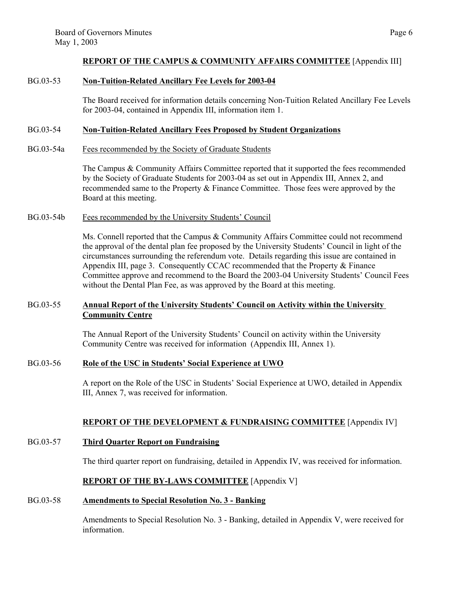#### **REPORT OF THE CAMPUS & COMMUNITY AFFAIRS COMMITTEE** [Appendix III]

#### BG.03-53 **Non-Tuition-Related Ancillary Fee Levels for 2003-04**

The Board received for information details concerning Non-Tuition Related Ancillary Fee Levels for 2003-04, contained in Appendix III, information item 1.

#### BG.03-54 **Non-Tuition-Related Ancillary Fees Proposed by Student Organizations**

BG.03-54a Fees recommended by the Society of Graduate Students

The Campus & Community Affairs Committee reported that it supported the fees recommended by the Society of Graduate Students for 2003-04 as set out in Appendix III, Annex 2, and recommended same to the Property & Finance Committee. Those fees were approved by the Board at this meeting.

#### BG.03-54b Fees recommended by the University Students' Council

Ms. Connell reported that the Campus & Community Affairs Committee could not recommend the approval of the dental plan fee proposed by the University Students' Council in light of the circumstances surrounding the referendum vote. Details regarding this issue are contained in Appendix III, page 3. Consequently CCAC recommended that the Property  $\&$  Finance Committee approve and recommend to the Board the 2003-04 University Students' Council Fees without the Dental Plan Fee, as was approved by the Board at this meeting.

### BG.03-55 **Annual Report of the University Students' Council on Activity within the University Community Centre**

The Annual Report of the University Students' Council on activity within the University Community Centre was received for information (Appendix III, Annex 1).

#### BG.03-56 **Role of the USC in Students' Social Experience at UWO**

A report on the Role of the USC in Students' Social Experience at UWO, detailed in Appendix III, Annex 7, was received for information.

### **REPORT OF THE DEVELOPMENT & FUNDRAISING COMMITTEE** [Appendix IV]

#### BG.03-57 **Third Quarter Report on Fundraising**

The third quarter report on fundraising, detailed in Appendix IV, was received for information.

### **REPORT OF THE BY-LAWS COMMITTEE** [Appendix V]

### BG.03-58 **Amendments to Special Resolution No. 3 - Banking**

Amendments to Special Resolution No. 3 - Banking, detailed in Appendix V, were received for information.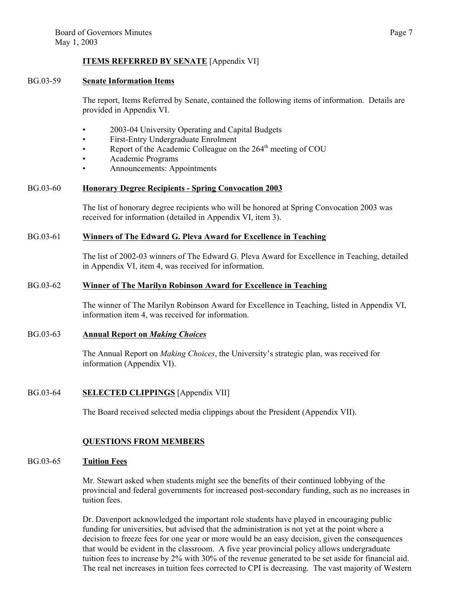### **ITEMS REFERRED BY SENATE** [Appendix VI]

#### BG.03-59 **Senate Information Items**

The report, Items Referred by Senate, contained the following items of information. Details are provided in Appendix VI.

- 2003-04 University Operating and Capital Budgets
- First-Entry Undergraduate Enrolment
- Report of the Academic Colleague on the 264<sup>th</sup> meeting of COU
- Academic Programs
- Announcements: Appointments

#### BG.03-60 **Honorary Degree Recipients - Spring Convocation 2003**

The list of honorary degree recipients who will be honored at Spring Convocation 2003 was received for information (detailed in Appendix VI, item 3).

#### BG.03-61 **Winners of The Edward G. Pleva Award for Excellence in Teaching**

The list of 2002-03 winners of The Edward G. Pleva Award for Excellence in Teaching, detailed in Appendix VI, item 4, was received for information.

### BG.03-62 **Winner of The Marilyn Robinson Award for Excellence in Teaching**

The winner of The Marilyn Robinson Award for Excellence in Teaching, listed in Appendix VI, information item 4, was received for information.

#### BG.03-63 **Annual Report on** *Making Choices*

The Annual Report on *Making Choices*, the University's strategic plan, was received for information (Appendix VI).

### BG.03-64 **SELECTED CLIPPINGS** [Appendix VII]

The Board received selected media clippings about the President (Appendix VII).

### **QUESTIONS FROM MEMBERS**

#### BG.03-65 **Tuition Fees**

Mr. Stewart asked when students might see the benefits of their continued lobbying of the provincial and federal governments for increased post-secondary funding, such as no increases in tuition fees.

Dr. Davenport acknowledged the important role students have played in encouraging public funding for universities, but advised that the administration is not yet at the point where a decision to freeze fees for one year or more would be an easy decision, given the consequences that would be evident in the classroom. A five year provincial policy allows undergraduate tuition fees to increase by 2% with 30% of the revenue generated to be set aside for financial aid. The real net increases in tuition fees corrected to CPI is decreasing. The vast majority of Western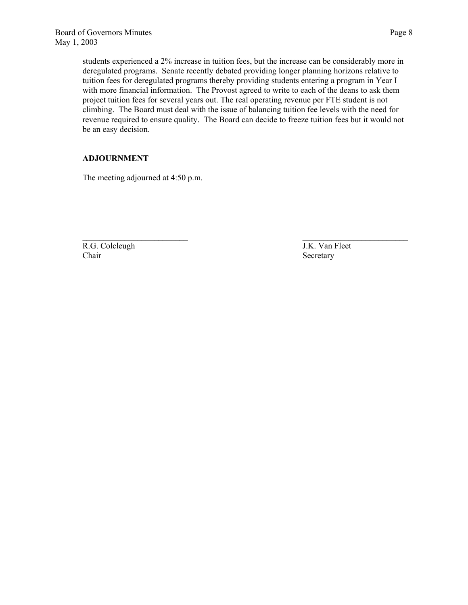students experienced a 2% increase in tuition fees, but the increase can be considerably more in deregulated programs. Senate recently debated providing longer planning horizons relative to tuition fees for deregulated programs thereby providing students entering a program in Year I with more financial information. The Provost agreed to write to each of the deans to ask them project tuition fees for several years out. The real operating revenue per FTE student is not climbing. The Board must deal with the issue of balancing tuition fee levels with the need for revenue required to ensure quality. The Board can decide to freeze tuition fees but it would not be an easy decision.

 $\mathcal{L}_\text{max}$  and the contract of the contract of the contract of the contract of the contract of the contract of the contract of the contract of the contract of the contract of the contract of the contract of the contrac

#### **ADJOURNMENT**

The meeting adjourned at 4:50 p.m.

R.G. Colcleugh J.K. Van Fleet Chair Secretary Secretary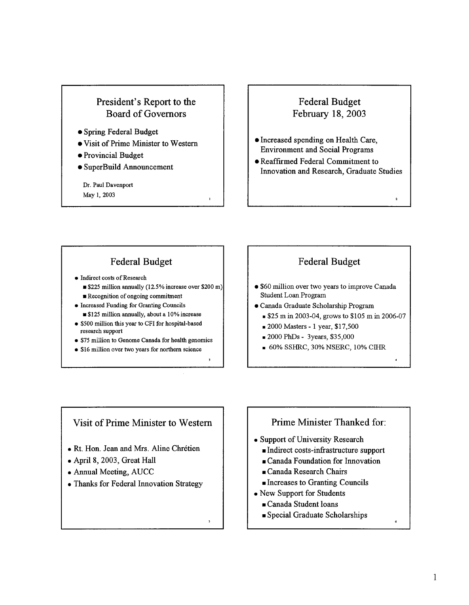

• SuperBuild Announcement

Dr. Paul Davenport May 1, 2003

### **Federal Budget** February 18, 2003

- · Increased spending on Health Care, **Environment and Social Programs**
- **Reaffirmed Federal Commitment to** Innovation and Research, Graduate Studies

 $\overline{2}$ 

# **Federal Budget**

- Indirect costs of Research
	- **S225** million annually (12.5% increase over \$200 m)

 $\mathbf{I}$ 

 $\overline{\phantom{a}}$ 

- Recognition of ongoing commitment
- Increased Funding for Granting Councils **S125** million annually, about a 10% increase
- \$500 million this year to CFI for hospital-based research support
- \$75 million to Genome Canada for health genomics
- \$16 million over two years for northern science

# **Federal Budget**

- \$60 million over two years to improve Canada Student Loan Program
- · Canada Graduate Scholarship Program
	- \$25 m in 2003-04, grows to \$105 m in 2006-07
	- 2000 Masters 1 year, \$17,500
	- 2000 PhDs 3years, \$35,000
	- 60% SSHRC, 30% NSERC, 10% CIHR

# Visit of Prime Minister to Western

- · Rt. Hon. Jean and Mrs. Aline Chrétien
- April 8, 2003, Great Hall
- Annual Meeting, AUCC
- Thanks for Federal Innovation Strategy

# Prime Minister Thanked for:

- Support of University Research
	- Indirect costs-infrastructure support
	- Canada Foundation for Innovation
	- Ganada Research Chairs
	- Increases to Granting Councils
- New Support for Students
	- Canada Student loans
	- Special Graduate Scholarships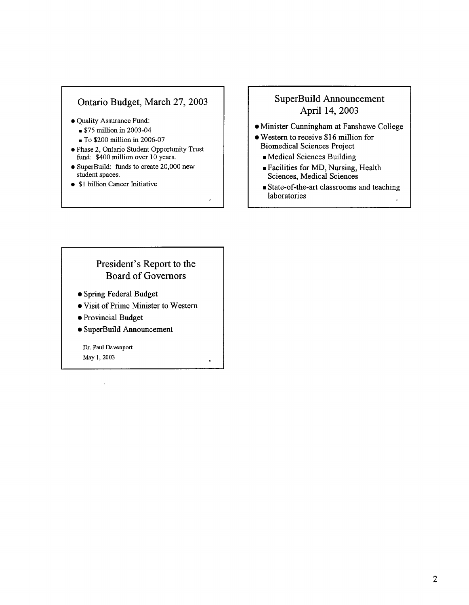# Ontario Budget, March 27, 2003

- · Quality Assurance Fund:
	- $$75$  million in 2003-04
	- To \$200 million in 2006-07
- · Phase 2, Ontario Student Opportunity Trust fund: \$400 million over 10 years.
- SuperBuild: funds to create 20,000 new student spaces.
- \$1 billion Cancer Initiative

# SuperBuild Announcement April 14, 2003

- Minister Cunningham at Fanshawe College
- Western to receive \$16 million for **Biomedical Sciences Project** 
	- Medical Sciences Building
	- Facilities for MD, Nursing, Health Sciences, Medical Sciences
	- State-of-the-art classrooms and teaching laboratories

# President's Report to the **Board of Governors**

 $\overline{\phantom{a}}$ 

 $\overline{9}$ 

- Spring Federal Budget
- Visit of Prime Minister to Western
- Provincial Budget
- SuperBuild Announcement

Dr. Paul Davenport May 1, 2003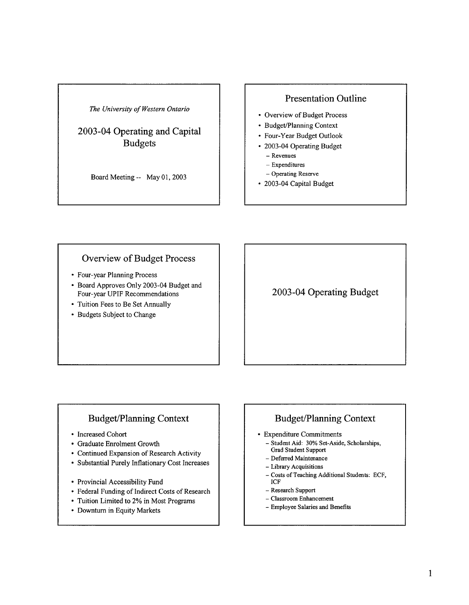# 2003-04 Operating and Capital **Budgets**

Board Meeting -- May 01, 2003

### **Presentation Outline**

- Overview of Budget Process
- Budget/Planning Context
- Four-Year Budget Outlook
- 2003-04 Operating Budget
	- Revenues
	- $-$  Expenditures
	- Operating Reserve
- 2003-04 Capital Budget

## Overview of Budget Process

- Four-year Planning Process
- Board Approves Only 2003-04 Budget and Four-year UPIF Recommendations
- Tuition Fees to Be Set Annually
- Budgets Subject to Change

2003-04 Operating Budget

# **Budget/Planning Context**

- Increased Cohort
- Graduate Enrolment Growth
- Continued Expansion of Research Activity
- Substantial Purely Inflationary Cost Increases
- Provincial Accessibility Fund
- Federal Funding of Indirect Costs of Research
- Tuition Limited to 2% in Most Programs
- Downturn in Equity Markets

# **Budget/Planning Context**

- Expenditure Commitments
	- Student Aid: 30% Set-Aside, Scholarships, **Grad Student Support**
	- Deferred Maintenance
	- Library Acquisitions
	- Costs of Teaching Additional Students: ECF, ICF
	- Research Support
	- $-$  Classroom Enhancement
	- Employee Salaries and Benefits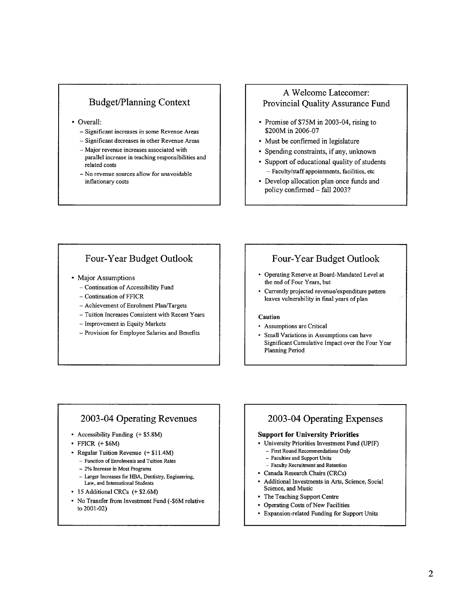### **Budget/Planning Context**

- Overall:
	- Significant increases in some Revenue Areas
	- Significant decreases in other Revenue Areas
	- Major revenue increases associated with
	- parallel increase in teaching responsibilities and related costs
	- No revenue sources allow for unavoidable inflationary costs

### A Welcome Latecomer: Provincial Quality Assurance Fund

- Promise of \$75M in 2003-04, rising to \$200M in 2006-07
- Must be confirmed in legislature
- Spending constraints, if any, unknown
- Support of educational quality of students - Faculty/staff appointments, facilities, etc
- Develop allocation plan once funds and policy confirmed - fall 2003?

### Four-Year Budget Outlook

- Major Assumptions
	- Continuation of Accessibility Fund
	- Continuation of FFICR
	- Achievement of Enrolment Plan/Targets
	- Tuition Increases Consistent with Recent Years
	- Improvement in Equity Markets
	- Provision for Employee Salaries and Benefits

### Four-Year Budget Outlook

- Operating Reserve at Board-Mandated Level at the end of Four Years, but
- Currently projected revenue/expenditure pattern leaves vulnerability in final years of plan

#### Caution

- Assumptions are Critical
- Small Variations in Assumptions can have Significant Cumulative Impact over the Four Year Planning Period

### 2003-04 Operating Revenues

- Accessibility Funding (+ \$5.8M)
- $\cdot$  FFICR  $(+$  \$6M)
- Regular Tuition Revenue (+ \$11.4M)
- Function of Enrolments and Tuition Rates
- 2% Increase in Most Programs
- Larger Increases for HBA, Dentistry, Engineering, Law, and International Students
- 15 Additional CRCs (+ \$2.6M)
- No Transfer from Investment Fund (-\$6M relative to 2001-02)

### 2003-04 Operating Expenses

#### **Support for University Priorities**

- University Priorities Investment Fund (UPIF)  $-$  First Round Recommendations Only
	- Faculties and Support Units
	- Faculty Recruitment and Retention
- Canada Research Chairs (CRCs)
- Additional Investments in Arts, Science, Social Science, and Music
- The Teaching Support Centre
- Operating Costs of New Facilities
- Expansion-related Funding for Support Units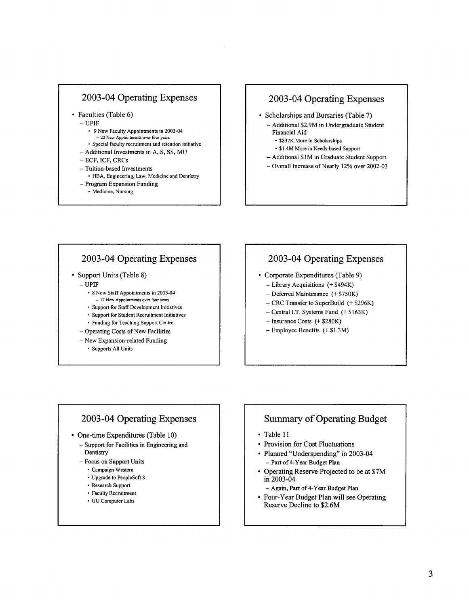### 2003-04 Operating Expenses

· Faculties (Table 6)

 $-$ UPIF

- 9 New Faculty Appointments in 2003-04
- 22 New Appointments over four years
- Special faculty recruitment and retention initiative - Additional Investments in A, S, SS, MU
- ECF. ICF. CRCs
- 
- Tuition-based Investments
- · HBA, Engineering, Law, Medicine and Dentistry - Program Expansion Funding
	- Medicine, Nursing
	-

### 2003-04 Operating Expenses

- Scholarships and Bursaries (Table 7)
	- Additional \$2.9M in Undergraduate Student **Financial Aid** 
		- \$837K More in Scholarships
	- \$1.4M More in Needs-based Support
	- Additional \$1M in Graduate Student Support
	- Overall Increase of Nearly 12% over 2002-03

### 2003-04 Operating Expenses

- Support Units (Table 8)
	- $-$  UPIF
		- 8 New Staff Appointments in 2003-04 - 17 New Appointments over four years
		- Support for Staff Development Initiatives
		- Support for Student Recruitment Initiatives
		- Funding for Teaching Support Centre
	- Operating Costs of New Facilities
	- $-$  New Expansion-related Funding
		- · Supports All Units

# 2003-04 Operating Expenses

- Corporate Expenditures (Table 9)
	- Library Acquisitions (+ \$494K)
	- $-$  Deferred Maintenance (+ \$750K)
	- $-$  CRC Transfer to SuperBuild  $(+$  \$296K)
	- Central I.T. Systems Fund (+ \$163K)
	- $-$  Insurance Costs (+ \$280K)
	- Employee Benefits (+\$1.3M)

### 2003-04 Operating Expenses

- One-time Expenditures (Table 10)
	- Support for Facilities in Engineering and Dentistry
	- Focus on Support Units
		- · Campaign Western
		- Upgrade to PeopleSoft 8
		- Research Support
		- Faculty Recruitment
		- · GU Computer Labs

### **Summary of Operating Budget**

- Table 11
- Provision for Cost Fluctuations
- Planned "Underspending" in 2003-04
- Part of 4-Year Budget Plan
- Operating Reserve Projected to be at \$7M in 2003-04
	- Again, Part of 4-Year Budget Plan
- Four-Year Budget Plan will see Operating Reserve Decline to \$2.6M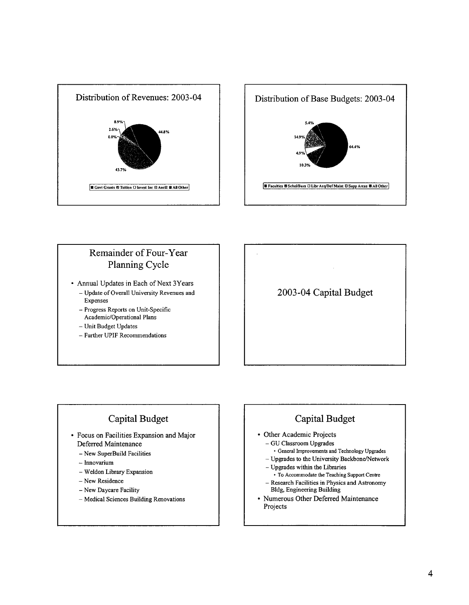



# Remainder of Four-Year Planning Cycle

- Annual Updates in Each of Next 3Years
	- Update of Overall University Revenues and Expenses
	- Progress Reports on Unit-Specific Academic/Operational Plans
	- Unit Budget Updates
	- Further UPIF Recommendations

# 2003-04 Capital Budget

# Capital Budget

- Focus on Facilities Expansion and Major Deferred Maintenance
	- New SuperBuild Facilities
	- $-$  Innovarium
	- Weldon Library Expansion
	- New Residence
	- New Daycare Facility
	- Medical Sciences Building Renovations

# Capital Budget

- Other Academic Projects
	- GU Classroom Upgrades
		- General Improvements and Technology Upgrades
	- Upgrades to the University Backbone/Network
	- Upgrades within the Libraries • To Accommodate the Teaching Support Centre - Research Facilities in Physics and Astronomy
- **Bldg**, Engineering Building • Numerous Other Deferred Maintenance Projects